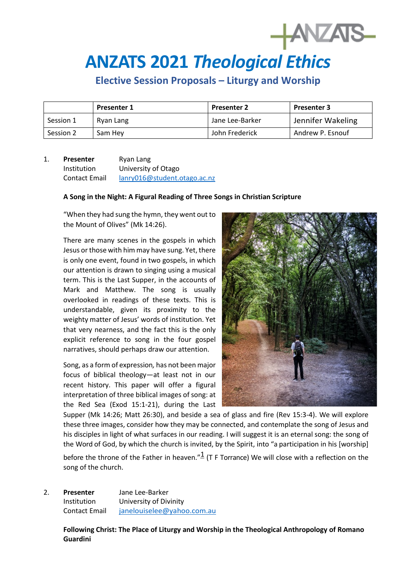# **ANZATS 2021** *Theological Ethics*

**Elective Session Proposals – Liturgy and Worship**

|           | <b>Presenter 1</b> | <b>Presenter 2</b> | <b>Presenter 3</b> |
|-----------|--------------------|--------------------|--------------------|
| Session 1 | Ryan Lang          | Jane Lee-Barker    | Jennifer Wakeling  |
| Session 2 | Sam Hev            | John Frederick     | Andrew P. Esnouf   |

# 1. **Presenter** Ryan Lang Institution University of Otago Contact Email [lanry016@student.otago.ac.nz](mailto:lanry016@student.otago.ac.nz)

#### **A Song in the Night: A Figural Reading of Three Songs in Christian Scripture**

"When they had sung the hymn, they went out to the Mount of Olives" (Mk 14:26).

There are many scenes in the gospels in which Jesus or those with him may have sung. Yet, there is only one event, found in two gospels, in which our attention is drawn to singing using a musical term. This is the Last Supper, in the accounts of Mark and Matthew. The song is usually overlooked in readings of these texts. This is understandable, given its proximity to the weighty matter of Jesus' words of institution. Yet that very nearness, and the fact this is the only explicit reference to song in the four gospel narratives, should perhaps draw our attention.

Song, as a form of expression*,* has not been major focus of biblical theology—at least not in our recent history. This paper will offer a figural interpretation of three biblical images of song: at the Red Sea (Exod 15:1-21), during the Last



 $+$  ANZATS

Supper (Mk 14:26; Matt 26:30), and beside a sea of glass and fire (Rev 15:3-4). We will explore these three images, consider how they may be connected, and contemplate the song of Jesus and his disciples in light of what surfaces in our reading. I will suggest it is an eternal song: the song of the Word of God, by which the church is invited, by the Spirit, into "a participation in his [worship]

before the throne of the Father in heaven." $\frac{1}{1}$  (T F Torrance) We will close with a reflection on the song of the church.

2. **Presenter** Jane Lee-Barker Institution University of Divinity Contact Email [janelouiselee@yahoo.com.au](mailto:janelouiselee@yahoo.com.au)

> **Following Christ: The Place of Liturgy and Worship in the Theological Anthropology of Romano Guardini**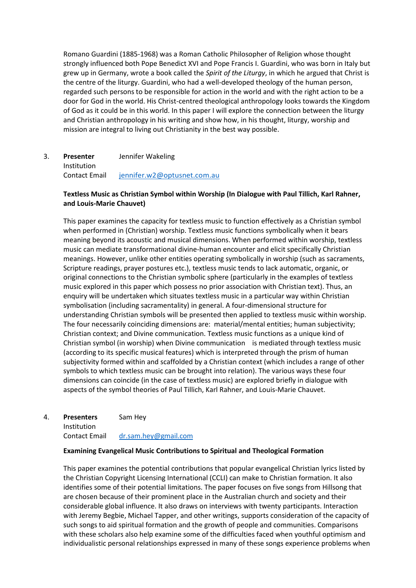Romano Guardini (1885-1968) was a Roman Catholic Philosopher of Religion whose thought strongly influenced both Pope Benedict XVI and Pope Francis I. Guardini, who was born in Italy but grew up in Germany, wrote a book called the *Spirit of the Liturgy*, in which he argued that Christ is the centre of the liturgy. Guardini, who had a well-developed theology of the human person, regarded such persons to be responsible for action in the world and with the right action to be a door for God in the world. His Christ-centred theological anthropology looks towards the Kingdom of God as it could be in this world. In this paper I will explore the connection between the liturgy and Christian anthropology in his writing and show how, in his thought, liturgy, worship and mission are integral to living out Christianity in the best way possible.

# 3. **Presenter** Jennifer Wakeling Institution Contact Email [jennifer.w2@optusnet.com.au](mailto:jennifer.w2@optusnet.com.au)

## **Textless Music as Christian Symbol within Worship (In Dialogue with Paul Tillich, Karl Rahner,**  and Louis-Marie Chauvet)

This paper examines the capacity for textless music to function effectively as a Christian symbol when performed in (Christian) worship. Textless music functions symbolically when it bears meaning beyond its acoustic and musical dimensions. When performed within worship, textless music can mediate transformational divine-human encounter and elicit specifically Christian meanings. However, unlike other entities operating symbolically in worship (such as sacraments, Scripture readings, prayer postures etc.), textless music tends to lack automatic, organic, or original connections to the Christian symbolic sphere (particularly in the examples of textless music explored in this paper which possess no prior association with Christian text). Thus, an enquiry will be undertaken which situates textless music in a particular way within Christian symbolisation (including sacramentality) in general. A four-dimensional structure for understanding Christian symbols will be presented then applied to textless music within worship. The four necessarily coinciding dimensions are: material/mental entities; human subjectivity; Christian context; and Divine communication. Textless music functions as a unique kind of Christian symbol (in worship) when Divine communication is mediated through textless music (according to its specific musical features) which is interpreted through the prism of human subjectivity formed within and scaffolded by a Christian context (which includes a range of other symbols to which textless music can be brought into relation). The various ways these four dimensions can coincide (in the case of textless music) are explored briefly in dialogue with aspects of the symbol theories of Paul Tillich, Karl Rahner, and Louis-Marie Chauvet.

#### 4. **Presenters** Sam Hey **Institution**

Contact Email [dr.sam.hey@gmail.com](mailto:dr.sam.hey@gmail.com)

## **Examining Evangelical Music Contributions to Spiritual and Theological Formation**

This paper examines the potential contributions that popular evangelical Christian lyrics listed by the Christian Copyright Licensing International (CCLI) can make to Christian formation. It also identifies some of their potential limitations. The paper focuses on five songs from Hillsong that are chosen because of their prominent place in the Australian church and society and their considerable global influence. It also draws on interviews with twenty participants. Interaction with Jeremy Begbie, Michael Tapper, and other writings, supports consideration of the capacity of such songs to aid spiritual formation and the growth of people and communities. Comparisons with these scholars also help examine some of the difficulties faced when youthful optimism and individualistic personal relationships expressed in many of these songs experience problems when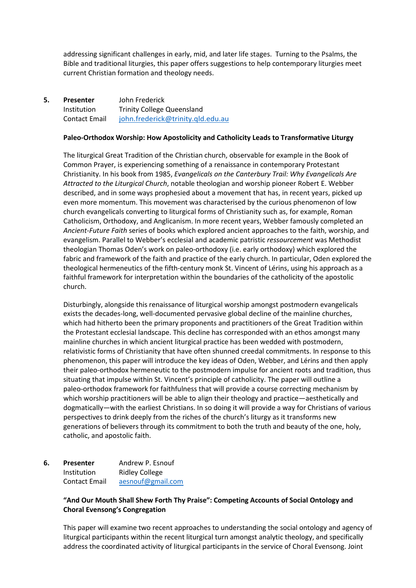addressing significant challenges in early, mid, and later life stages. Turning to the Psalms, the Bible and traditional liturgies, this paper offers suggestions to help contemporary liturgies meet current Christian formation and theology needs.

**5. Presenter** John Frederick Institution Trinity College Queensland Contact Email [john.frederick@trinity.qld.edu.au](mailto:john.frederick@trinity.qld.edu.au)

## Paleo-Orthodox Worship: How Apostolicity and Catholicity Leads to Transformative Liturgy

The liturgical Great Tradition of the Christian church, observable for example in the Book of Common Prayer, is experiencing something of a renaissance in contemporary Protestant Christianity. In his book from 1985, *Evangelicals on the Canterbury Trail: Why Evangelicals Are Attracted to the Liturgical Church*, notable theologian and worship pioneer Robert E. Webber described, and in some ways prophesied about a movement that has, in recent years, picked up even more momentum. This movement was characterised by the curious phenomenon of low church evangelicals converting to liturgical forms of Christianity such as, for example, Roman Catholicism, Orthodoxy, and Anglicanism. In more recent years, Webber famously completed an *Ancient-Future Faith* series of books which explored ancient approaches to the faith, worship, and evangelism. Parallel to Webber's ecclesial and academic patristic *ressourcement* was Methodist theologian Thomas Oden's work on paleo-orthodoxy (i.e. early orthodoxy) which explored the fabric and framework of the faith and practice of the early church. In particular, Oden explored the theological hermeneutics of the fifth-century monk St. Vincent of Lérins, using his approach as a faithful framework for interpretation within the boundaries of the catholicity of the apostolic church.

Disturbingly, alongside this renaissance of liturgical worship amongst postmodern evangelicals exists the decades-long, well-documented pervasive global decline of the mainline churches, which had hitherto been the primary proponents and practitioners of the Great Tradition within the Protestant ecclesial landscape. This decline has corresponded with an ethos amongst many mainline churches in which ancient liturgical practice has been wedded with postmodern, relativistic forms of Christianity that have often shunned creedal commitments. In response to this phenomenon, this paper will introduce the key ideas of Oden, Webber, and Lérins and then apply their paleo-orthodox hermeneutic to the postmodern impulse for ancient roots and tradition, thus situating that impulse within St. Vincent's principle of catholicity. The paper will outline a paleo-orthodox framework for faithfulness that will provide a course correcting mechanism by which worship practitioners will be able to align their theology and practice—aesthetically and dogmatically—with the earliest Christians. In so doing it will provide a way for Christians of various perspectives to drink deeply from the riches of the church's liturgy as it transforms new generations of believers through its commitment to both the truth and beauty of the one, holy, catholic, and apostolic faith.

# **6. Presenter** Andrew P. Esnouf Institution Ridley College Contact Email [aesnouf@gmail.com](mailto:aesnouf@gmail.com)

## **"And Our Mouth Shall Shew Forth Thy Praise": Competing Accounts of Social Ontology and Choral Evensong's Congregation**

This paper will examine two recent approaches to understanding the social ontology and agency of liturgical participants within the recent liturgical turn amongst analytic theology, and specifically address the coordinated activity of liturgical participants in the service of Choral Evensong. Joint